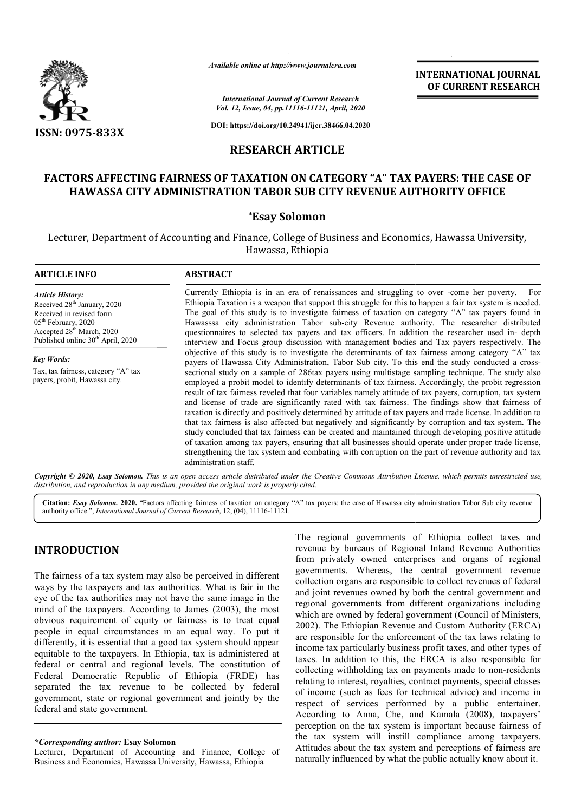

*Available online at http://www.journalcra.com*

*International Journal of Current Research Vol. 12, Issue, 04, pp.11116-11121, April, 2020*

**DOI: https://doi.org/10.24941/ijcr.38466.04.2020**

# **RESEARCH ARTICLE**

# **FACTORS AFFECTING FAIRNESS OF TAXATION ON CATEGORY "A" TAX PAYERS: THE CASE OF**  'ORS AFFECTING FAIRNESS OF TAXATION ON CATEGORY "A" TAX PAYERS: THE CAS<br>HAWASSA CITY ADMINISTRATION TABOR SUB CITY REVENUE AUTHORITY OFFICE

## **\*Esay Solomon**

Lecturer, Department of Accounting and Finance, College of Business and Economics Economics, Hawassa University, Hawassa, Ethiopia

#### **ARTICLE INFO ABSTRACT** Currently Ethiopia is in an era of renaissances and struggling to over -come her poverty. For Ethiopia Taxation is a weapon that support this struggle for this to happen a fair tax system is needed. The goal of this study is to investigate fairness of taxation on category "A" tax payers found in Hawasssa city administration Tabor sub-city Revenue authority. The researcher distributed questionnaires to selected tax payers and tax officers. In addition the researcher used in interview and Focus group discussion with management bodies and Tax payers respectively. The objective of this study is to investigate the determinants of tax fairness among category "A" tax objective of this study is to investigate the determinants of tax fairness among category "A" tax payers of Hawassa City Administration, Tabor Sub city. To this end the study conducted a crosssectional study on a sample of 286tax payers using multistage sampling technique. The study also sectional study on a sample of 286tax payers using multistage sampling technique. The study also employed a probit model to identify determinants of tax fairness. Accordingly, the probit regression result of tax fairness reveled that four variables namely attitude of tax payers, corruption, tax system and license of trade are significantly rated with tax fairness. The findings show that fairness of result of tax fairness reveled that four variables namely attitude of tax payers, corruption, tax system and license of trade are significantly rated with tax fairness. The findings show that fairness of taxation is direct that tax fairness is also affected but negatively and significantly by corruption and tax system. The study concluded that tax fairness can be created and maintained through developing positive attitude of taxation among tax payers, ensuring that all businesses should operate under proper trade license, strengthening the tax system and combating with corruption on the part of revenue authority and tax administration staff. *Article History:* Received 28<sup>th</sup> January, 2020 Received in revised form 05<sup>th</sup> February, 2020 Accepted 28<sup>th</sup> March, 2020 Published online 30<sup>th</sup> April, 2020 *Key Words:* Tax, tax fairness, category "A" tax payers, probit, Hawassa city. Ethiopia Taxation is a weapon that support this struggle for this to happen a fair tax system is needed.<br>The goal of this study is to investigate fairness of taxation on category "A" tax payers found in<br>Hawasssa city admin that tax fairness is also affected but negatively and significantly by corruption and tax<br>study concluded that tax fairness can be created and maintained through developing po<br>of taxation among tax payers, ensuring that al

Copyright © 2020, Esay Solomon. This is an open access article distributed under the Creative Commons Attribution License, which permits unrestricted use, *distribution, and reproduction in any medium, provided the original work is properly cited.*

Citation: *Esay Solomon.* 2020. "Factors affecting fairness of taxation on category "A" tax payers: the case of Hawassa city administration Tabor Sub city revenue authority office.", *International Journal of Current Research* , 12, (04), 11116-11121.

# **INTRODUCTION**

The fairness of a tax system may also be perceived in different ways by the taxpayers and tax authorities. What is fair in the eye of the tax authorities may not have the same image in the mind of the taxpayers. According to James (2003), the most obvious requirement of equity or fairness is to treat equal people in equal circumstances in an equal way. To put it differently, it is essential that a good tax system should appear equitable to the taxpayers. In Ethiopia, tax is administered at federal or central and regional levels. The constitution of Federal Democratic Republic of Ethiopia (FRDE) has separated the tax revenue to be collected by federal government, state or regional government and jointly by the federal and state government.

### *\*Corresponding author:* **Esay Solomon**

Lecturer, Department of Accounting and Finance, College of Business and Economics, Hawassa University, Hawassa, Ethiopia

TRODUCTION<br>
TRODUCTION The regional governments of Ethiopia collect taxes and<br>
from privately bureaus of Regional Inland Revenue Authorities. What is fair in the collection organs are responsible to collect revenues of reg revenue by bureaus of Regional Inland Revenue Authorities from privately owned enterprises and organs of regional governments. Whereas, the central government revenue collection organs are responsible to collect revenues of federal and joint revenues owned by both the central government and regional governments from different organizations including which are owned by federal government (Council of Ministers, 2002). The Ethiopian Revenue and Custom Authority (ERCA) are responsible for the enforcement of the tax laws relating to which are owned by federal government (Council of Ministers, 2002). The Ethiopian Revenue and Custom Authority (ERCA) are responsible for the enforcement of the tax laws relating to income tax particularly business profit taxes. In addition to this, the ERCA is also responsible for taxes. In addition to this, the ERCA is also responsible for collecting withholding tax on payments made to non-residents relating to interest, royalties, contract payments, special classes relating to interest, royalties, contract payments, special classes<br>of income (such as fees for technical advice) and income in respect of services performed by a public entertainer. According to Anna, Che, and Kamala (2008), taxpayers' perception on the tax system is important because fairness of the tax system will instill compliance among taxpayers. Attitudes about the tax system and perceptions of fairness are naturally influenced by what the public actually know about it. ional governments of Ethiopia collect taxes and<br>by bureaus of Regional Inland Revenue Authorities<br>ivately owned enterprises and organs of regional<br>ents. Whereas, the central government revenue<br>n organs are responsible to c **INTERNATIONAL JOURNAL**<br> **OF CURRENT RESEARCH**<br> **OF CURRENT RESEARCH**<br> **CEORY** "A" TAX PAYERS: THE CASE OF<br> **CEORY** "A" TAX PAYERS: THE CASE OF<br> **TY REVENUE AUTHORITY OFFICE**<br>
Sinces and strugging to over-come her poverty.

**INTERNATIONAL JOURNAL OF CURRENT RESEARCH**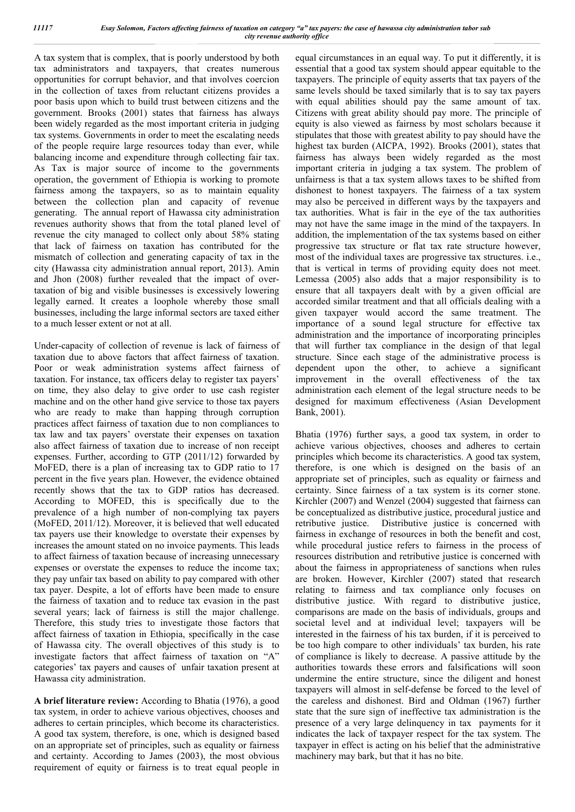A tax system that is complex, that is poorly understood by both tax administrators and taxpayers, that creates numerous opportunities for corrupt behavior, and that involves coercion in the collection of taxes from reluctant citizens provides a poor basis upon which to build trust between citizens and the government. Brooks (2001) states that fairness has always been widely regarded as the most important criteria in judging tax systems. Governments in order to meet the escalating needs of the people require large resources today than ever, while balancing income and expenditure through collecting fair tax. As Tax is major source of income to the governments operation, the government of Ethiopia is working to promote fairness among the taxpayers, so as to maintain equality between the collection plan and capacity of revenue generating. The annual report of Hawassa city administration revenues authority shows that from the total planed level of revenue the city managed to collect only about 58% stating that lack of fairness on taxation has contributed for the mismatch of collection and generating capacity of tax in the city (Hawassa city administration annual report, 2013). Amin and Jhon (2008) further revealed that the impact of overtaxation of big and visible businesses is excessively lowering legally earned. It creates a loophole whereby those small businesses, including the large informal sectors are taxed either to a much lesser extent or not at all.

Under-capacity of collection of revenue is lack of fairness of taxation due to above factors that affect fairness of taxation. Poor or weak administration systems affect fairness of taxation. For instance, tax officers delay to register tax payers' on time, they also delay to give order to use cash register machine and on the other hand give service to those tax payers who are ready to make than happing through corruption practices affect fairness of taxation due to non compliances to tax law and tax payers' overstate their expenses on taxation also affect fairness of taxation due to increase of non receipt expenses. Further, according to GTP (2011/12) forwarded by MoFED, there is a plan of increasing tax to GDP ratio to 17 percent in the five years plan. However, the evidence obtained recently shows that the tax to GDP ratios has decreased. According to MOFED, this is specifically due to the prevalence of a high number of non-complying tax payers (MoFED, 2011/12). Moreover, it is believed that well educated tax payers use their knowledge to overstate their expenses by increases the amount stated on no invoice payments. This leads to affect fairness of taxation because of increasing unnecessary expenses or overstate the expenses to reduce the income tax; they pay unfair tax based on ability to pay compared with other tax payer. Despite, a lot of efforts have been made to ensure the fairness of taxation and to reduce tax evasion in the past several years; lack of fairness is still the major challenge. Therefore, this study tries to investigate those factors that affect fairness of taxation in Ethiopia, specifically in the case of Hawassa city. The overall objectives of this study is to investigate factors that affect fairness of taxation on "A" categories' tax payers and causes of unfair taxation present at Hawassa city administration.

**A brief literature review:** According to Bhatia (1976), a good tax system, in order to achieve various objectives, chooses and adheres to certain principles, which become its characteristics. A good tax system, therefore, is one, which is designed based on an appropriate set of principles, such as equality or fairness and certainty. According to James (2003), the most obvious requirement of equity or fairness is to treat equal people in

equal circumstances in an equal way. To put it differently, it is essential that a good tax system should appear equitable to the taxpayers. The principle of equity asserts that tax payers of the same levels should be taxed similarly that is to say tax payers with equal abilities should pay the same amount of tax. Citizens with great ability should pay more. The principle of equity is also viewed as fairness by most scholars because it stipulates that those with greatest ability to pay should have the highest tax burden (AICPA, 1992). Brooks (2001), states that fairness has always been widely regarded as the most important criteria in judging a tax system. The problem of unfairness is that a tax system allows taxes to be shifted from dishonest to honest taxpayers. The fairness of a tax system may also be perceived in different ways by the taxpayers and tax authorities. What is fair in the eye of the tax authorities may not have the same image in the mind of the taxpayers. In addition, the implementation of the tax systems based on either progressive tax structure or flat tax rate structure however, most of the individual taxes are progressive tax structures. i.e., that is vertical in terms of providing equity does not meet. Lemessa (2005) also adds that a major responsibility is to ensure that all taxpayers dealt with by a given official are accorded similar treatment and that all officials dealing with a given taxpayer would accord the same treatment. The importance of a sound legal structure for effective tax administration and the importance of incorporating principles that will further tax compliance in the design of that legal structure. Since each stage of the administrative process is dependent upon the other, to achieve a significant improvement in the overall effectiveness of the tax administration each element of the legal structure needs to be designed for maximum effectiveness (Asian Development Bank, 2001).

Bhatia (1976) further says, a good tax system, in order to achieve various objectives, chooses and adheres to certain principles which become its characteristics. A good tax system, therefore, is one which is designed on the basis of an appropriate set of principles, such as equality or fairness and certainty. Since fairness of a tax system is its corner stone. Kirchler (2007) and Wenzel (2004) suggested that fairness can be conceptualized as distributive justice, procedural justice and retributive justice. Distributive justice is concerned with fairness in exchange of resources in both the benefit and cost, while procedural justice refers to fairness in the process of resources distribution and retributive justice is concerned with about the fairness in appropriateness of sanctions when rules are broken. However, Kirchler (2007) stated that research relating to fairness and tax compliance only focuses on distributive justice. With regard to distributive justice, comparisons are made on the basis of individuals, groups and societal level and at individual level; taxpayers will be interested in the fairness of his tax burden, if it is perceived to be too high compare to other individuals' tax burden, his rate of compliance is likely to decrease. A passive attitude by the authorities towards these errors and falsifications will soon undermine the entire structure, since the diligent and honest taxpayers will almost in self-defense be forced to the level of the careless and dishonest. Bird and Oldman (1967) further state that the sure sign of ineffective tax administration is the presence of a very large delinquency in tax payments for it indicates the lack of taxpayer respect for the tax system. The taxpayer in effect is acting on his belief that the administrative machinery may bark, but that it has no bite.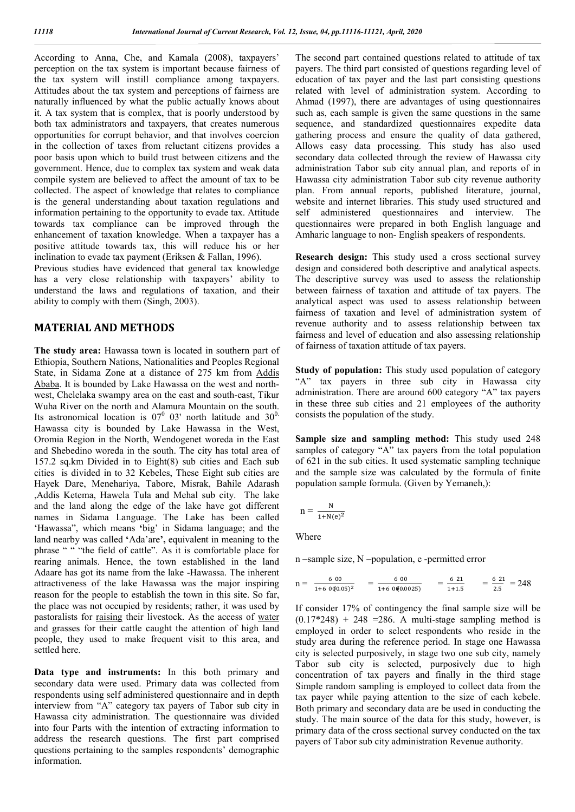According to Anna, Che, and Kamala (2008), taxpayers' perception on the tax system is important because fairness of the tax system will instill compliance among taxpayers. Attitudes about the tax system and perceptions of fairness are naturally influenced by what the public actually knows about it. A tax system that is complex, that is poorly understood by both tax administrators and taxpayers, that creates numerous opportunities for corrupt behavior, and that involves coercion in the collection of taxes from reluctant citizens provides a poor basis upon which to build trust between citizens and the government. Hence, due to complex tax system and weak data compile system are believed to affect the amount of tax to be collected. The aspect of knowledge that relates to compliance is the general understanding about taxation regulations and information pertaining to the opportunity to evade tax. Attitude towards tax compliance can be improved through the enhancement of taxation knowledge. When a taxpayer has a positive attitude towards tax, this will reduce his or her inclination to evade tax payment (Eriksen & Fallan, 1996).

Previous studies have evidenced that general tax knowledge has a very close relationship with taxpayers' ability to understand the laws and regulations of taxation, and their ability to comply with them (Singh, 2003).

## **MATERIAL AND METHODS**

**The study area:** Hawassa town is located in southern part of Ethiopia, Southern Nations, Nationalities and Peoples Regional State, in Sidama Zone at a distance of 275 km from Addis Ababa. It is bounded by Lake Hawassa on the west and northwest, Chelelaka swampy area on the east and south-east, Tikur Wuha River on the north and Alamura Mountain on the south. Its astronomical location is  $07^0$  03' north latitude and  $30^0$ . Hawassa city is bounded by Lake Hawassa in the West, Oromia Region in the North, Wendogenet woreda in the East and Shebedino woreda in the south. The city has total area of 157.2 sq.km Divided in to Eight(8) sub cities and Each sub cities is divided in to 32 Kebeles, These Eight sub cities are Hayek Dare, Menehariya, Tabore, Misrak, Bahile Adarash ,Addis Ketema, Hawela Tula and Mehal sub city. The lake and the land along the edge of the lake have got different names in Sidama Language. The Lake has been called 'Hawassa", which means **'**big' in Sidama language; and the land nearby was called **'**Ada'are**',** equivalent in meaning to the phrase " " "the field of cattle". As it is comfortable place for rearing animals. Hence, the town established in the land Adaare has got its name from the lake -Hawassa. The inherent attractiveness of the lake Hawassa was the major inspiring reason for the people to establish the town in this site. So far, the place was not occupied by residents; rather, it was used by pastoralists for raising their livestock. As the access of water and grasses for their cattle caught the attention of high land people, they used to make frequent visit to this area, and settled here.

**Data type and instruments:** In this both primary and secondary data were used. Primary data was collected from respondents using self administered questionnaire and in depth interview from "A" category tax payers of Tabor sub city in Hawassa city administration. The questionnaire was divided into four Parts with the intention of extracting information to address the research questions. The first part comprised questions pertaining to the samples respondents' demographic information.

The second part contained questions related to attitude of tax payers. The third part consisted of questions regarding level of education of tax payer and the last part consisting questions related with level of administration system. According to Ahmad (1997), there are advantages of using questionnaires such as, each sample is given the same questions in the same sequence, and standardized questionnaires expedite data gathering process and ensure the quality of data gathered, Allows easy data processing. This study has also used secondary data collected through the review of Hawassa city administration Tabor sub city annual plan, and reports of in Hawassa city administration Tabor sub city revenue authority plan. From annual reports, published literature, journal, website and internet libraries. This study used structured and self administered questionnaires and interview. The questionnaires were prepared in both English language and Amharic language to non- English speakers of respondents.

**Research design:** This study used a cross sectional survey design and considered both descriptive and analytical aspects. The descriptive survey was used to assess the relationship between fairness of taxation and attitude of tax payers. The analytical aspect was used to assess relationship between fairness of taxation and level of administration system of revenue authority and to assess relationship between tax fairness and level of education and also assessing relationship of fairness of taxation attitude of tax payers.

**Study of population:** This study used population of category "A" tax payers in three sub city in Hawassa city administration. There are around 600 category "A" tax payers in these three sub cities and 21 employees of the authority consists the population of the study.

**Sample size and sampling method:** This study used 248 samples of category "A" tax payers from the total population of 621 in the sub cities. It used systematic sampling technique and the sample size was calculated by the formula of finite population sample formula. (Given by Yemaneh,):

$$
n = \frac{N}{1 + N(e)^2}
$$

**Where** 

n –sample size, N –population, e -permitted error

$$
n = \frac{600}{1 + 600(0.05)^2} = \frac{600}{1 + 600(0.0025)} = \frac{621}{1 + 1.5} = \frac{621}{2.5} = 248
$$

If consider 17% of contingency the final sample size will be  $(0.17*248) + 248 = 286$ . A multi-stage sampling method is employed in order to select respondents who reside in the study area during the reference period. In stage one Hawassa city is selected purposively, in stage two one sub city, namely Tabor sub city is selected, purposively due to high concentration of tax payers and finally in the third stage Simple random sampling is employed to collect data from the tax payer while paying attention to the size of each kebele. Both primary and secondary data are be used in conducting the study. The main source of the data for this study, however, is primary data of the cross sectional survey conducted on the tax payers of Tabor sub city administration Revenue authority.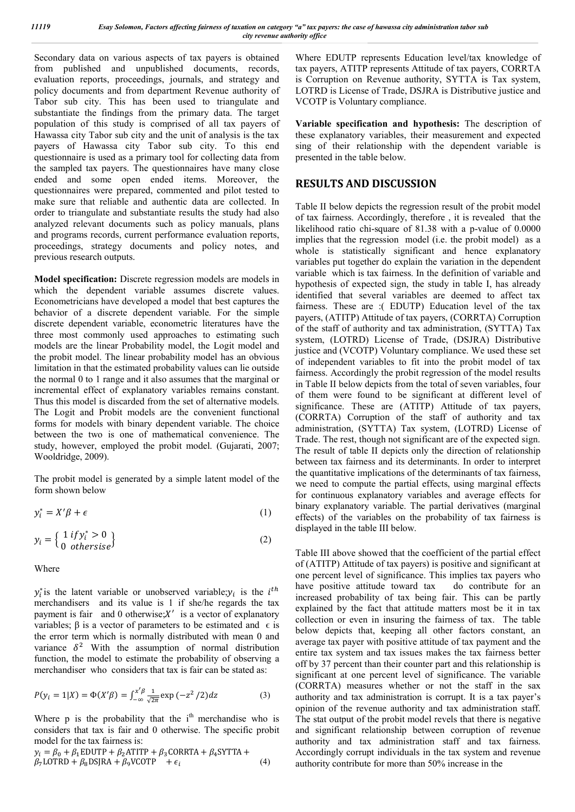Secondary data on various aspects of tax payers is obtained from published and unpublished documents, records, evaluation reports, proceedings, journals, and strategy and policy documents and from department Revenue authority of Tabor sub city. This has been used to triangulate and substantiate the findings from the primary data. The target population of this study is comprised of all tax payers of Hawassa city Tabor sub city and the unit of analysis is the tax payers of Hawassa city Tabor sub city. To this end questionnaire is used as a primary tool for collecting data from the sampled tax payers. The questionnaires have many close ended and some open ended items. Moreover, the questionnaires were prepared, commented and pilot tested to make sure that reliable and authentic data are collected. In order to triangulate and substantiate results the study had also analyzed relevant documents such as policy manuals, plans and programs records, current performance evaluation reports, proceedings, strategy documents and policy notes, and previous research outputs.

**Model specification:** Discrete regression models are models in which the dependent variable assumes discrete values. Econometricians have developed a model that best captures the behavior of a discrete dependent variable. For the simple discrete dependent variable, econometric literatures have the three most commonly used approaches to estimating such models are the linear Probability model, the Logit model and the probit model. The linear probability model has an obvious limitation in that the estimated probability values can lie outside the normal 0 to 1 range and it also assumes that the marginal or incremental effect of explanatory variables remains constant. Thus this model is discarded from the set of alternative models. The Logit and Probit models are the convenient functional forms for models with binary dependent variable. The choice between the two is one of mathematical convenience. The study, however, employed the probit model. (Gujarati, 2007; Wooldridge, 2009).

The probit model is generated by a simple latent model of the form shown below

$$
y_i^* = X'\beta + \epsilon \tag{1}
$$

$$
y_i = \left\{ \begin{array}{l} 1 \, if \, y_i^* > 0 \\ 0 \, otherwise \end{array} \right\} \tag{2}
$$

Where

 $y_i^*$  is the latent variable or unobserved variable;  $y_i$  is the  $i^{th}$ merchandisers and its value is 1 if she/he regards the tax payment is fair and 0 otherwise; $X'$  is a vector of explanatory variables;  $\beta$  is a vector of parameters to be estimated and  $\epsilon$  is the error term which is normally distributed with mean 0 and variance  $\delta^2$  With the assumption of normal distribution function, the model to estimate the probability of observing a merchandiser who considers that tax is fair can be stated as:

$$
P(y_i = 1 | X) = \Phi(X' \beta) = \int_{-\infty}^{x' \beta} \frac{1}{\sqrt{2\pi}} \exp(-z^2 / 2) dz
$$
 (3)

Where  $p$  is the probability that the  $i<sup>th</sup>$  merchandise who is considers that tax is fair and 0 otherwise. The specific probit model for the tax fairness is:

$$
y_i = \beta_0 + \beta_1 \text{EDUTP} + \beta_2 \text{ATTP} + \beta_3 \text{CORRTA} + \beta_4 \text{SYTTA} + \beta_7 \text{LOTRD} + \beta_8 \text{DSJRA} + \beta_9 \text{VCOTP} + \epsilon_i
$$
\n(4)

Where EDUTP represents Education level/tax knowledge of tax payers, ATITP represents Attitude of tax payers, CORRTA is Corruption on Revenue authority, SYTTA is Tax system, LOTRD is License of Trade, DSJRA is Distributive justice and VCOTP is Voluntary compliance.

**Variable specification and hypothesis:** The description of these explanatory variables, their measurement and expected sing of their relationship with the dependent variable is presented in the table below.

## **RESULTS AND DISCUSSION**

Table II below depicts the regression result of the probit model of tax fairness. Accordingly, therefore , it is revealed that the likelihood ratio chi-square of 81.38 with a p-value of 0.0000 implies that the regression model (i.e. the probit model) as a whole is statistically significant and hence explanatory variables put together do explain the variation in the dependent variable which is tax fairness. In the definition of variable and hypothesis of expected sign, the study in table I, has already identified that several variables are deemed to affect tax fairness. These are :( EDUTP) Education level of the tax payers, (ATITP) Attitude of tax payers, (CORRTA) Corruption of the staff of authority and tax administration, (SYTTA) Tax system, (LOTRD) License of Trade, (DSJRA) Distributive justice and (VCOTP) Voluntary compliance. We used these set of independent variables to fit into the probit model of tax fairness. Accordingly the probit regression of the model results in Table II below depicts from the total of seven variables, four of them were found to be significant at different level of significance. These are (ATITP) Attitude of tax payers, (CORRTA) Corruption of the staff of authority and tax administration, (SYTTA) Tax system, (LOTRD) License of Trade. The rest, though not significant are of the expected sign. The result of table II depicts only the direction of relationship between tax fairness and its determinants. In order to interpret the quantitative implications of the determinants of tax fairness, we need to compute the partial effects, using marginal effects for continuous explanatory variables and average effects for binary explanatory variable. The partial derivatives (marginal effects) of the variables on the probability of tax fairness is displayed in the table III below.

Table III above showed that the coefficient of the partial effect of (ATITP) Attitude of tax payers) is positive and significant at one percent level of significance. This implies tax payers who have positive attitude toward tax do contribute for an increased probability of tax being fair. This can be partly explained by the fact that attitude matters most be it in tax collection or even in insuring the fairness of tax. The table below depicts that, keeping all other factors constant, an average tax payer with positive attitude of tax payment and the entire tax system and tax issues makes the tax fairness better off by 37 percent than their counter part and this relationship is significant at one percent level of significance. The variable (CORRTA) measures whether or not the staff in the sax authority and tax administration is corrupt. It is a tax payer's opinion of the revenue authority and tax administration staff. The stat output of the probit model revels that there is negative and significant relationship between corruption of revenue authority and tax administration staff and tax fairness. Accordingly corrupt individuals in the tax system and revenue authority contribute for more than 50% increase in the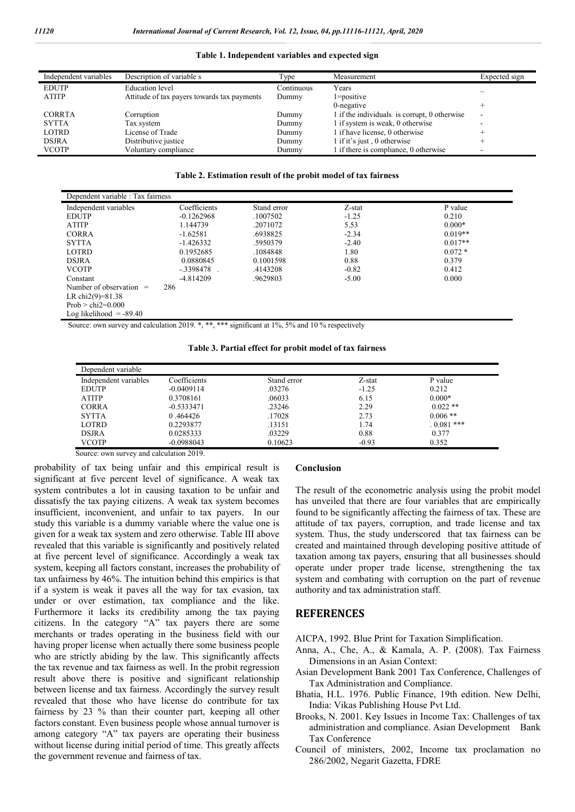#### **Table 1. Independent variables and expected sign**

| Independent variables | Description of variable s                   | Type       | Measurement                                  | Expected sign |
|-----------------------|---------------------------------------------|------------|----------------------------------------------|---------------|
| <b>EDUTP</b>          | <b>Education</b> level                      | Continuous | Years                                        |               |
| <b>ATITP</b>          | Attitude of tax payers towards tax payments | Dummy      | $1 = positive$                               |               |
|                       |                                             |            | $0$ -negative                                |               |
| <b>CORRTA</b>         | Corruption                                  | Dummy      | 1 if the individuals is corrupt, 0 otherwise |               |
| <b>SYTTA</b>          | Tax system                                  | Dummy      | 1 if system is weak, 0 otherwise             |               |
| LOTRD                 | License of Trade                            | Dummy      | 1 if have license, 0 otherwise               |               |
| <b>DSJRA</b>          | Distributive justice                        | Dummy      | 1 if it's just, 0 otherwise                  |               |
| <b>VCOTP</b>          | Voluntary compliance                        | Dummy      | I if there is compliance, 0 otherwise        |               |

|  | Table 2. Estimation result of the probit model of tax fairness |  |  |  |  |  |  |  |  |
|--|----------------------------------------------------------------|--|--|--|--|--|--|--|--|
|--|----------------------------------------------------------------|--|--|--|--|--|--|--|--|

| Dependent variable : Tax fairness |              |             |         |           |  |
|-----------------------------------|--------------|-------------|---------|-----------|--|
| Independent variables             | Coefficients | Stand error | Z-stat  | P value   |  |
| <b>EDUTP</b>                      | $-0.1262968$ | .1007502    | $-1.25$ | 0.210     |  |
| <b>ATITP</b>                      | 1.144739     | .2071072    | 5.53    | $0.000*$  |  |
| <b>CORRA</b>                      | $-1.62581$   | .6938825    | $-2.34$ | $0.019**$ |  |
| <b>SYTTA</b>                      | $-1.426332$  | .5950379    | $-2.40$ | $0.017**$ |  |
| <b>LOTRD</b>                      | 0.1952685    | .1084848    | 1.80    | $0.072*$  |  |
| <b>DSJRA</b>                      | 0.0880845    | 0.1001598   | 0.88    | 0.379     |  |
| <b>VCOTP</b>                      | -.3398478    | .4143208    | $-0.82$ | 0.412     |  |
| Constant                          | $-4.814209$  | .9629803    | $-5.00$ | 0.000     |  |
| Number of observation<br>$=$      | 286          |             |         |           |  |
| LR chi2(9)=81.38                  |              |             |         |           |  |
| $Prob > chi2=0.000$               |              |             |         |           |  |
| Log likelihood $= -89.40$         |              |             |         |           |  |

Source: own survey and calculation 2019. \*, \*\*, \*\*\* significant at 1%, 5% and 10% respectively

| Dependent variable    |              |             |         |             |
|-----------------------|--------------|-------------|---------|-------------|
| Independent variables | Coefficients | Stand error | Z-stat  | P value     |
| <b>EDUTP</b>          | $-0.0409114$ | .03276      | $-1.25$ | 0.212       |
| <b>ATITP</b>          | 0.3708161    | .06033      | 6.15    | $0.000*$    |
| <b>CORRA</b>          | $-0.5333471$ | .23246      | 2.29    | $0.022$ **  |
| <b>SYTTA</b>          | 0.464426     | .17028      | 2.73    | $0.006$ **  |
| LOTRD                 | 0.2293877    | .13151      | 1.74    | $0.081$ *** |
| <b>DSJRA</b>          | 0.0285333    | .03229      | 0.88    | 0.377       |
| <b>VCOTP</b>          | $-0.0988043$ | 0.10623     | $-0.93$ | 0.352       |

Source: own survey and calculation 2019.

probability of tax being unfair and this empirical result is significant at five percent level of significance. A weak tax system contributes a lot in causing taxation to be unfair and dissatisfy the tax paying citizens. A weak tax system becomes insufficient, inconvenient, and unfair to tax payers. In our study this variable is a dummy variable where the value one is given for a weak tax system and zero otherwise. Table III above revealed that this variable is significantly and positively related at five percent level of significance. Accordingly a weak tax system, keeping all factors constant, increases the probability of tax unfairness by 46%. The intuition behind this empirics is that if a system is weak it paves all the way for tax evasion, tax under or over estimation, tax compliance and the like. Furthermore it lacks its credibility among the tax paying citizens. In the category "A" tax payers there are some merchants or trades operating in the business field with our having proper license when actually there some business people who are strictly abiding by the law. This significantly affects the tax revenue and tax fairness as well. In the probit regression result above there is positive and significant relationship between license and tax fairness. Accordingly the survey result revealed that those who have license do contribute for tax fairness by 23 % than their counter part, keeping all other factors constant. Even business people whose annual turnover is among category "A" tax payers are operating their business without license during initial period of time. This greatly affects the government revenue and fairness of tax.

#### **Conclusion**

The result of the econometric analysis using the probit model has unveiled that there are four variables that are empirically found to be significantly affecting the fairness of tax. These are attitude of tax payers, corruption, and trade license and tax system. Thus, the study underscored that tax fairness can be created and maintained through developing positive attitude of taxation among tax payers, ensuring that all businesses should operate under proper trade license, strengthening the tax system and combating with corruption on the part of revenue authority and tax administration staff.

#### **REFERENCES**

AICPA, 1992. Blue Print for Taxation Simplification.

- Anna, A., Che, A., & Kamala, A. P. (2008). Tax Fairness Dimensions in an Asian Context:
- Asian Development Bank 2001 Tax Conference, Challenges of Tax Administration and Compliance.
- Bhatia, H.L. 1976. Public Finance, 19th edition. New Delhi, India: Vikas Publishing House Pvt Ltd.
- Brooks, N. 2001. Key Issues in Income Tax: Challenges of tax administration and compliance. Asian Development Bank Tax Conference
- Council of ministers, 2002, Income tax proclamation no 286/2002, Negarit Gazetta, FDRE